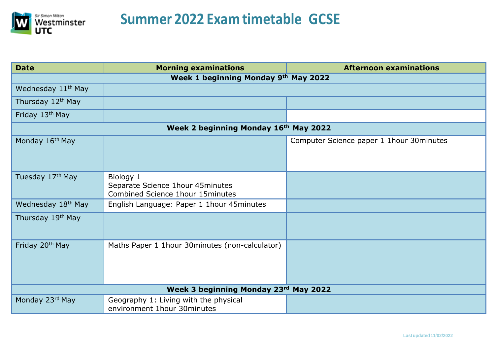

| <b>Date</b>                           | <b>Morning examinations</b>                                                               | <b>Afternoon examinations</b>             |  |  |
|---------------------------------------|-------------------------------------------------------------------------------------------|-------------------------------------------|--|--|
| Week 1 beginning Monday 9th May 2022  |                                                                                           |                                           |  |  |
| Wednesday 11 <sup>th</sup> May        |                                                                                           |                                           |  |  |
| Thursday 12 <sup>th</sup> May         |                                                                                           |                                           |  |  |
| Friday 13th May                       |                                                                                           |                                           |  |  |
| Week 2 beginning Monday 16th May 2022 |                                                                                           |                                           |  |  |
| Monday 16th May                       |                                                                                           | Computer Science paper 1 1hour 30 minutes |  |  |
| Tuesday 17 <sup>th</sup> May          | Biology 1<br>Separate Science 1hour 45 minutes<br><b>Combined Science 1hour 15minutes</b> |                                           |  |  |
| Wednesday 18 <sup>th</sup> May        | English Language: Paper 1 1hour 45 minutes                                                |                                           |  |  |
| Thursday 19 <sup>th</sup> May         |                                                                                           |                                           |  |  |
| Friday 20 <sup>th</sup> May           | Maths Paper 1 1hour 30 minutes (non-calculator)                                           |                                           |  |  |
| Week 3 beginning Monday 23rd May 2022 |                                                                                           |                                           |  |  |
| Monday 23rd May                       | Geography 1: Living with the physical<br>environment 1hour 30 minutes                     |                                           |  |  |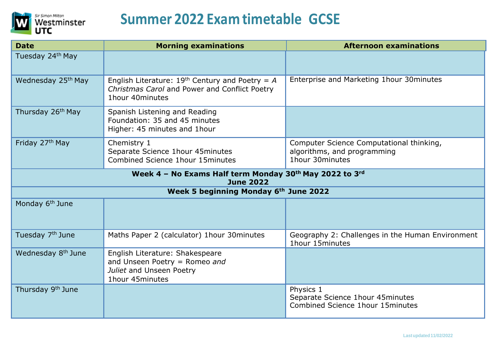

| <b>Date</b>                                                                 | <b>Morning examinations</b>                                                                                            | <b>Afternoon examinations</b>                                                              |  |  |
|-----------------------------------------------------------------------------|------------------------------------------------------------------------------------------------------------------------|--------------------------------------------------------------------------------------------|--|--|
| Tuesday 24 <sup>th</sup> May                                                |                                                                                                                        |                                                                                            |  |  |
| Wednesday 25 <sup>th</sup> May                                              | English Literature: $19th$ Century and Poetry = A<br>Christmas Carol and Power and Conflict Poetry<br>1hour 40 minutes | Enterprise and Marketing 1hour 30minutes                                                   |  |  |
| Thursday 26 <sup>th</sup> May                                               | Spanish Listening and Reading<br>Foundation: 35 and 45 minutes<br>Higher: 45 minutes and 1hour                         |                                                                                            |  |  |
| Friday 27th May                                                             | Chemistry 1<br>Separate Science 1hour 45minutes<br>Combined Science 1hour 15 minutes                                   | Computer Science Computational thinking,<br>algorithms, and programming<br>1hour 30minutes |  |  |
| Week 4 - No Exams Half term Monday 30th May 2022 to 3rd<br><b>June 2022</b> |                                                                                                                        |                                                                                            |  |  |
| Week 5 beginning Monday 6th June 2022                                       |                                                                                                                        |                                                                                            |  |  |
| Monday 6 <sup>th</sup> June                                                 |                                                                                                                        |                                                                                            |  |  |
| Tuesday 7 <sup>th</sup> June                                                | Maths Paper 2 (calculator) 1hour 30 minutes                                                                            | Geography 2: Challenges in the Human Environment<br>1hour 15minutes                        |  |  |
| Wednesday 8 <sup>th</sup> June                                              | English Literature: Shakespeare<br>and Unseen Poetry = Romeo and<br>Juliet and Unseen Poetry<br>1hour 45minutes        |                                                                                            |  |  |
| Thursday 9 <sup>th</sup> June                                               |                                                                                                                        | Physics 1<br>Separate Science 1hour 45minutes<br>Combined Science 1hour 15 minutes         |  |  |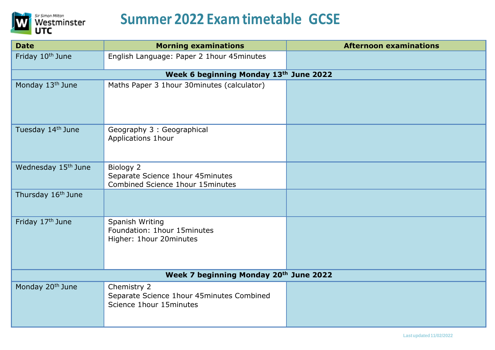

| <b>Date</b>                            | <b>Morning examinations</b>                                                         | <b>Afternoon examinations</b> |  |  |
|----------------------------------------|-------------------------------------------------------------------------------------|-------------------------------|--|--|
| Friday 10 <sup>th</sup> June           | English Language: Paper 2 1hour 45minutes                                           |                               |  |  |
| Week 6 beginning Monday 13th June 2022 |                                                                                     |                               |  |  |
| Monday 13th June                       | Maths Paper 3 1hour 30minutes (calculator)                                          |                               |  |  |
| Tuesday 14th June                      | Geography 3 : Geographical<br>Applications 1hour                                    |                               |  |  |
| Wednesday 15 <sup>th</sup> June        | Biology 2<br>Separate Science 1hour 45minutes<br>Combined Science 1hour 15 minutes  |                               |  |  |
| Thursday 16 <sup>th</sup> June         |                                                                                     |                               |  |  |
| Friday 17th June                       | Spanish Writing<br>Foundation: 1hour 15minutes<br>Higher: 1hour 20minutes           |                               |  |  |
| Week 7 beginning Monday 20th June 2022 |                                                                                     |                               |  |  |
| Monday 20 <sup>th</sup> June           | Chemistry 2<br>Separate Science 1hour 45minutes Combined<br>Science 1hour 15minutes |                               |  |  |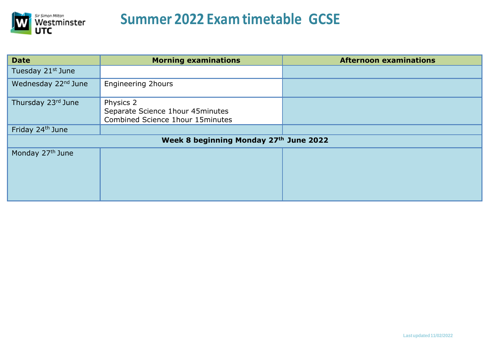

| <b>Date</b>                            | <b>Morning examinations</b>                                                        | <b>Afternoon examinations</b> |  |  |
|----------------------------------------|------------------------------------------------------------------------------------|-------------------------------|--|--|
| Tuesday 21st June                      |                                                                                    |                               |  |  |
| Wednesday 22 <sup>nd</sup> June        | <b>Engineering 2hours</b>                                                          |                               |  |  |
| Thursday 23rd June                     | Physics 2<br>Separate Science 1hour 45minutes<br>Combined Science 1hour 15 minutes |                               |  |  |
| Friday 24th June                       |                                                                                    |                               |  |  |
| Week 8 beginning Monday 27th June 2022 |                                                                                    |                               |  |  |
| Monday 27th June                       |                                                                                    |                               |  |  |